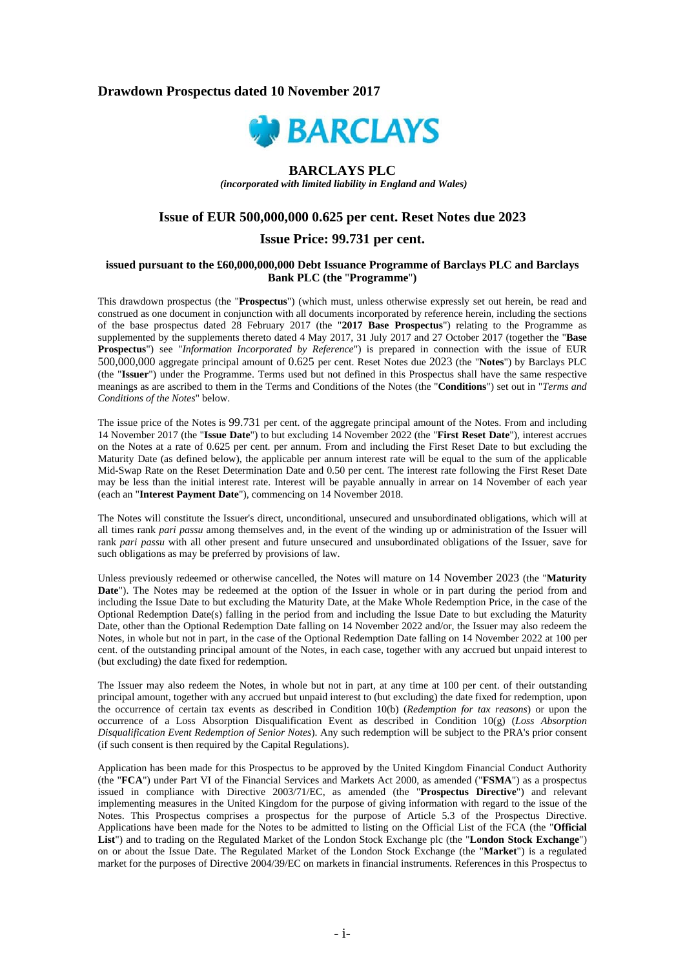# **Drawdown Prospectus dated 10 November 2017**



# **BARCLAYS PLC**

 *(incorporated with limited liability in England and Wales)* 

# **Issue of EUR 500,000,000 0.625 per cent. Reset Notes due 2023**

## **Issue Price: 99.731 per cent.**

#### **issued pursuant to the £60,000,000,000 Debt Issuance Programme of Barclays PLC and Barclays Bank PLC (the** "**Programme**"**)**

This drawdown prospectus (the "**Prospectus**") (which must, unless otherwise expressly set out herein, be read and construed as one document in conjunction with all documents incorporated by reference herein, including the sections of the base prospectus dated 28 February 2017 (the "**2017 Base Prospectus**") relating to the Programme as supplemented by the supplements thereto dated 4 May 2017, 31 July 2017 and 27 October 2017 (together the "**Base Prospectus**") see "*Information Incorporated by Reference*") is prepared in connection with the issue of EUR 500,000,000 aggregate principal amount of 0.625 per cent. Reset Notes due 2023 (the "**Notes**") by Barclays PLC (the "**Issuer**") under the Programme. Terms used but not defined in this Prospectus shall have the same respective meanings as are ascribed to them in the Terms and Conditions of the Notes (the "**Conditions**") set out in "*Terms and Conditions of the Notes*" below.

The issue price of the Notes is 99.731 per cent. of the aggregate principal amount of the Notes. From and including 14 November 2017 (the "**Issue Date**") to but excluding 14 November 2022 (the "**First Reset Date**"), interest accrues on the Notes at a rate of 0.625 per cent. per annum. From and including the First Reset Date to but excluding the Maturity Date (as defined below), the applicable per annum interest rate will be equal to the sum of the applicable Mid-Swap Rate on the Reset Determination Date and 0.50 per cent. The interest rate following the First Reset Date may be less than the initial interest rate. Interest will be payable annually in arrear on 14 November of each year (each an "**Interest Payment Date**"), commencing on 14 November 2018.

The Notes will constitute the Issuer's direct, unconditional, unsecured and unsubordinated obligations, which will at all times rank *pari passu* among themselves and, in the event of the winding up or administration of the Issuer will rank *pari passu* with all other present and future unsecured and unsubordinated obligations of the Issuer, save for such obligations as may be preferred by provisions of law.

Unless previously redeemed or otherwise cancelled, the Notes will mature on 14 November 2023 (the "**Maturity Date**"). The Notes may be redeemed at the option of the Issuer in whole or in part during the period from and including the Issue Date to but excluding the Maturity Date, at the Make Whole Redemption Price, in the case of the Optional Redemption Date(s) falling in the period from and including the Issue Date to but excluding the Maturity Date, other than the Optional Redemption Date falling on 14 November 2022 and/or, the Issuer may also redeem the Notes, in whole but not in part, in the case of the Optional Redemption Date falling on 14 November 2022 at 100 per cent. of the outstanding principal amount of the Notes, in each case, together with any accrued but unpaid interest to (but excluding) the date fixed for redemption.

The Issuer may also redeem the Notes, in whole but not in part, at any time at 100 per cent. of their outstanding principal amount, together with any accrued but unpaid interest to (but excluding) the date fixed for redemption, upon the occurrence of certain tax events as described in Condition 10(b) (*Redemption for tax reasons*) or upon the occurrence of a Loss Absorption Disqualification Event as described in Condition 10(g) (*Loss Absorption Disqualification Event Redemption of Senior Notes*). Any such redemption will be subject to the PRA's prior consent (if such consent is then required by the Capital Regulations).

Application has been made for this Prospectus to be approved by the United Kingdom Financial Conduct Authority (the "**FCA**") under Part VI of the Financial Services and Markets Act 2000, as amended ("**FSMA**") as a prospectus issued in compliance with Directive 2003/71/EC, as amended (the "**Prospectus Directive**") and relevant implementing measures in the United Kingdom for the purpose of giving information with regard to the issue of the Notes. This Prospectus comprises a prospectus for the purpose of Article 5.3 of the Prospectus Directive. Applications have been made for the Notes to be admitted to listing on the Official List of the FCA (the "**Official List**") and to trading on the Regulated Market of the London Stock Exchange plc (the "**London Stock Exchange**") on or about the Issue Date. The Regulated Market of the London Stock Exchange (the "**Market**") is a regulated market for the purposes of Directive 2004/39/EC on markets in financial instruments. References in this Prospectus to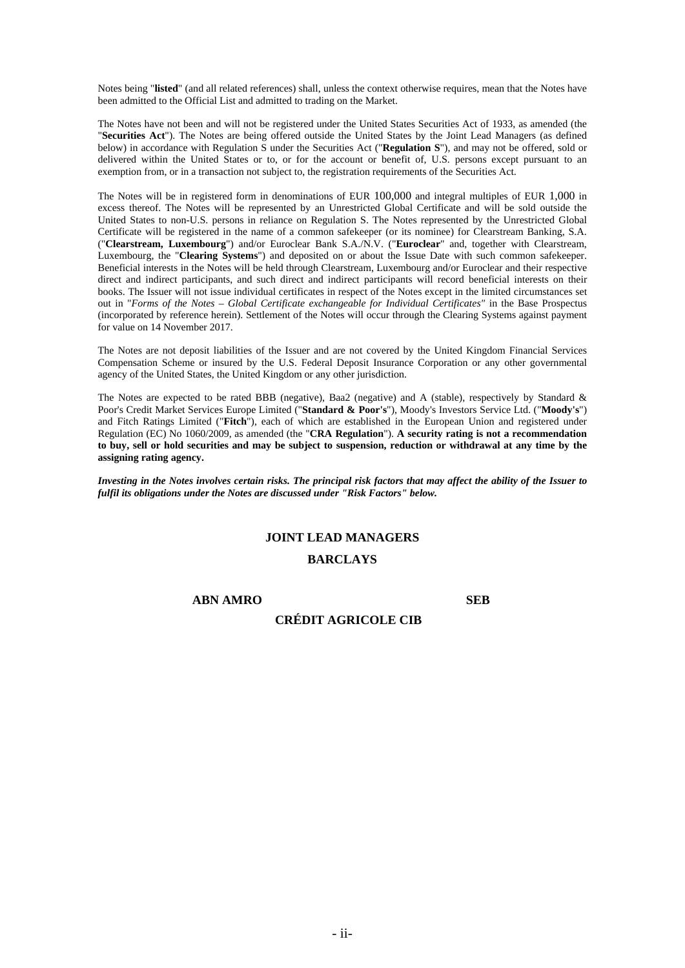Notes being "**listed**" (and all related references) shall, unless the context otherwise requires, mean that the Notes have been admitted to the Official List and admitted to trading on the Market.

The Notes have not been and will not be registered under the United States Securities Act of 1933, as amended (the "**Securities Act**"). The Notes are being offered outside the United States by the Joint Lead Managers (as defined below) in accordance with Regulation S under the Securities Act ("**Regulation S**"), and may not be offered, sold or delivered within the United States or to, or for the account or benefit of, U.S. persons except pursuant to an exemption from, or in a transaction not subject to, the registration requirements of the Securities Act.

The Notes will be in registered form in denominations of EUR 100,000 and integral multiples of EUR 1,000 in excess thereof. The Notes will be represented by an Unrestricted Global Certificate and will be sold outside the United States to non-U.S. persons in reliance on Regulation S. The Notes represented by the Unrestricted Global Certificate will be registered in the name of a common safekeeper (or its nominee) for Clearstream Banking, S.A. ("**Clearstream, Luxembourg**") and/or Euroclear Bank S.A./N.V. ("**Euroclear**" and, together with Clearstream, Luxembourg, the "**Clearing Systems**") and deposited on or about the Issue Date with such common safekeeper. Beneficial interests in the Notes will be held through Clearstream, Luxembourg and/or Euroclear and their respective direct and indirect participants, and such direct and indirect participants will record beneficial interests on their books. The Issuer will not issue individual certificates in respect of the Notes except in the limited circumstances set out in "*Forms of the Notes – Global Certificate exchangeable for Individual Certificates"* in the Base Prospectus (incorporated by reference herein). Settlement of the Notes will occur through the Clearing Systems against payment for value on 14 November 2017.

The Notes are not deposit liabilities of the Issuer and are not covered by the United Kingdom Financial Services Compensation Scheme or insured by the U.S. Federal Deposit Insurance Corporation or any other governmental agency of the United States, the United Kingdom or any other jurisdiction.

The Notes are expected to be rated BBB (negative), Baa2 (negative) and A (stable), respectively by Standard & Poor's Credit Market Services Europe Limited ("**Standard & Poor's**"), Moody's Investors Service Ltd. ("**Moody's**") and Fitch Ratings Limited ("**Fitch**"), each of which are established in the European Union and registered under Regulation (EC) No 1060/2009, as amended (the "**CRA Regulation**"). **A security rating is not a recommendation to buy, sell or hold securities and may be subject to suspension, reduction or withdrawal at any time by the assigning rating agency.** 

*Investing in the Notes involves certain risks. The principal risk factors that may affect the ability of the Issuer to fulfil its obligations under the Notes are discussed under "Risk Factors" below.* 

## **JOINT LEAD MANAGERS**

# **BARCLAYS**

**ABN AMRO SEB** 

# **CRÉDIT AGRICOLE CIB**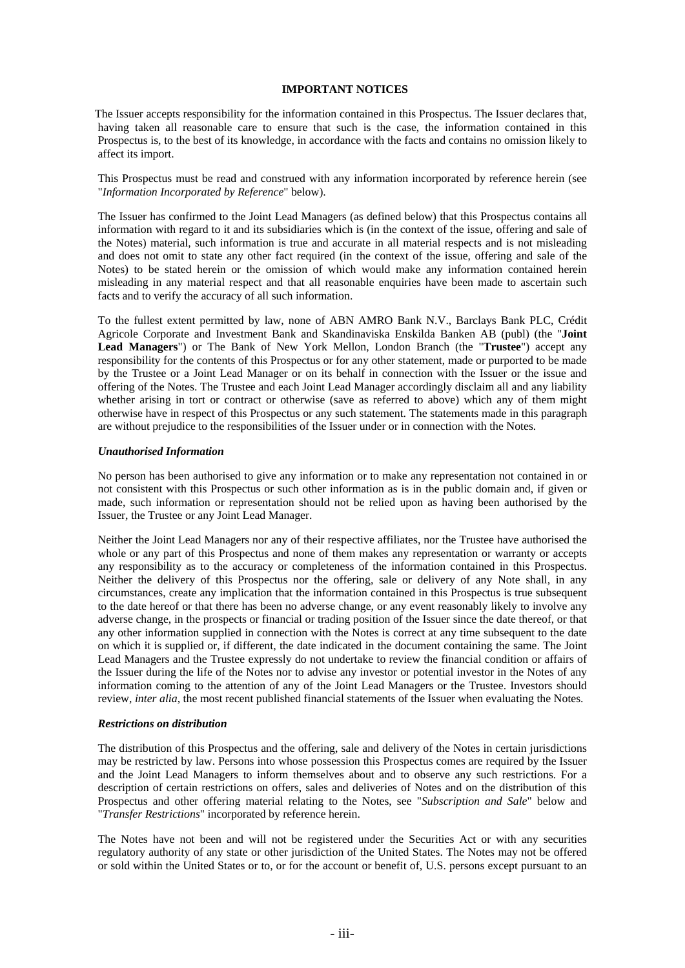## **IMPORTANT NOTICES**

The Issuer accepts responsibility for the information contained in this Prospectus. The Issuer declares that, having taken all reasonable care to ensure that such is the case, the information contained in this Prospectus is, to the best of its knowledge, in accordance with the facts and contains no omission likely to affect its import.

This Prospectus must be read and construed with any information incorporated by reference herein (see "*Information Incorporated by Reference*" below).

The Issuer has confirmed to the Joint Lead Managers (as defined below) that this Prospectus contains all information with regard to it and its subsidiaries which is (in the context of the issue, offering and sale of the Notes) material, such information is true and accurate in all material respects and is not misleading and does not omit to state any other fact required (in the context of the issue, offering and sale of the Notes) to be stated herein or the omission of which would make any information contained herein misleading in any material respect and that all reasonable enquiries have been made to ascertain such facts and to verify the accuracy of all such information.

To the fullest extent permitted by law, none of ABN AMRO Bank N.V., Barclays Bank PLC, Crédit Agricole Corporate and Investment Bank and Skandinaviska Enskilda Banken AB (publ) (the "**Joint Lead Managers**") or The Bank of New York Mellon, London Branch (the "**Trustee**") accept any responsibility for the contents of this Prospectus or for any other statement, made or purported to be made by the Trustee or a Joint Lead Manager or on its behalf in connection with the Issuer or the issue and offering of the Notes. The Trustee and each Joint Lead Manager accordingly disclaim all and any liability whether arising in tort or contract or otherwise (save as referred to above) which any of them might otherwise have in respect of this Prospectus or any such statement. The statements made in this paragraph are without prejudice to the responsibilities of the Issuer under or in connection with the Notes.

#### *Unauthorised Information*

No person has been authorised to give any information or to make any representation not contained in or not consistent with this Prospectus or such other information as is in the public domain and, if given or made, such information or representation should not be relied upon as having been authorised by the Issuer, the Trustee or any Joint Lead Manager.

Neither the Joint Lead Managers nor any of their respective affiliates, nor the Trustee have authorised the whole or any part of this Prospectus and none of them makes any representation or warranty or accepts any responsibility as to the accuracy or completeness of the information contained in this Prospectus. Neither the delivery of this Prospectus nor the offering, sale or delivery of any Note shall, in any circumstances, create any implication that the information contained in this Prospectus is true subsequent to the date hereof or that there has been no adverse change, or any event reasonably likely to involve any adverse change, in the prospects or financial or trading position of the Issuer since the date thereof, or that any other information supplied in connection with the Notes is correct at any time subsequent to the date on which it is supplied or, if different, the date indicated in the document containing the same. The Joint Lead Managers and the Trustee expressly do not undertake to review the financial condition or affairs of the Issuer during the life of the Notes nor to advise any investor or potential investor in the Notes of any information coming to the attention of any of the Joint Lead Managers or the Trustee. Investors should review, *inter alia*, the most recent published financial statements of the Issuer when evaluating the Notes.

#### *Restrictions on distribution*

The distribution of this Prospectus and the offering, sale and delivery of the Notes in certain jurisdictions may be restricted by law. Persons into whose possession this Prospectus comes are required by the Issuer and the Joint Lead Managers to inform themselves about and to observe any such restrictions. For a description of certain restrictions on offers, sales and deliveries of Notes and on the distribution of this Prospectus and other offering material relating to the Notes, see "*Subscription and Sale*" below and "*Transfer Restrictions*" incorporated by reference herein.

The Notes have not been and will not be registered under the Securities Act or with any securities regulatory authority of any state or other jurisdiction of the United States. The Notes may not be offered or sold within the United States or to, or for the account or benefit of, U.S. persons except pursuant to an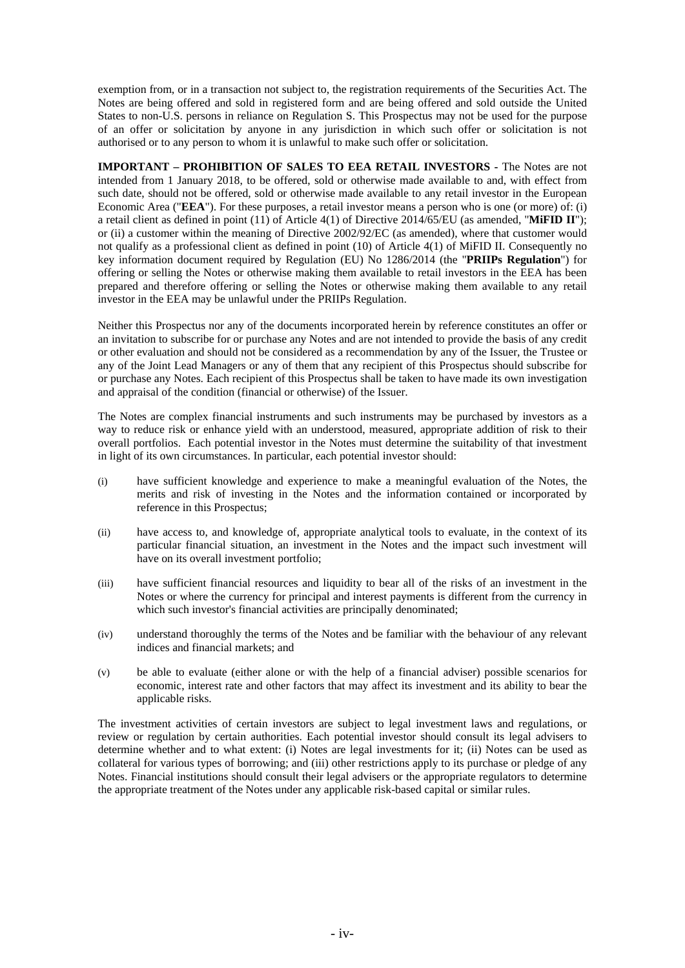exemption from, or in a transaction not subject to, the registration requirements of the Securities Act. The Notes are being offered and sold in registered form and are being offered and sold outside the United States to non-U.S. persons in reliance on Regulation S. This Prospectus may not be used for the purpose of an offer or solicitation by anyone in any jurisdiction in which such offer or solicitation is not authorised or to any person to whom it is unlawful to make such offer or solicitation.

**IMPORTANT – PROHIBITION OF SALES TO EEA RETAIL INVESTORS -** The Notes are not intended from 1 January 2018, to be offered, sold or otherwise made available to and, with effect from such date, should not be offered, sold or otherwise made available to any retail investor in the European Economic Area ("**EEA**"). For these purposes, a retail investor means a person who is one (or more) of: (i) a retail client as defined in point (11) of Article 4(1) of Directive 2014/65/EU (as amended, "**MiFID II**"); or (ii) a customer within the meaning of Directive 2002/92/EC (as amended), where that customer would not qualify as a professional client as defined in point (10) of Article 4(1) of MiFID II. Consequently no key information document required by Regulation (EU) No 1286/2014 (the "**PRIIPs Regulation**") for offering or selling the Notes or otherwise making them available to retail investors in the EEA has been prepared and therefore offering or selling the Notes or otherwise making them available to any retail investor in the EEA may be unlawful under the PRIIPs Regulation.

Neither this Prospectus nor any of the documents incorporated herein by reference constitutes an offer or an invitation to subscribe for or purchase any Notes and are not intended to provide the basis of any credit or other evaluation and should not be considered as a recommendation by any of the Issuer, the Trustee or any of the Joint Lead Managers or any of them that any recipient of this Prospectus should subscribe for or purchase any Notes. Each recipient of this Prospectus shall be taken to have made its own investigation and appraisal of the condition (financial or otherwise) of the Issuer.

The Notes are complex financial instruments and such instruments may be purchased by investors as a way to reduce risk or enhance yield with an understood, measured, appropriate addition of risk to their overall portfolios. Each potential investor in the Notes must determine the suitability of that investment in light of its own circumstances. In particular, each potential investor should:

- (i) have sufficient knowledge and experience to make a meaningful evaluation of the Notes, the merits and risk of investing in the Notes and the information contained or incorporated by reference in this Prospectus;
- (ii) have access to, and knowledge of, appropriate analytical tools to evaluate, in the context of its particular financial situation, an investment in the Notes and the impact such investment will have on its overall investment portfolio;
- (iii) have sufficient financial resources and liquidity to bear all of the risks of an investment in the Notes or where the currency for principal and interest payments is different from the currency in which such investor's financial activities are principally denominated;
- (iv) understand thoroughly the terms of the Notes and be familiar with the behaviour of any relevant indices and financial markets; and
- (v) be able to evaluate (either alone or with the help of a financial adviser) possible scenarios for economic, interest rate and other factors that may affect its investment and its ability to bear the applicable risks.

The investment activities of certain investors are subject to legal investment laws and regulations, or review or regulation by certain authorities. Each potential investor should consult its legal advisers to determine whether and to what extent: (i) Notes are legal investments for it; (ii) Notes can be used as collateral for various types of borrowing; and (iii) other restrictions apply to its purchase or pledge of any Notes. Financial institutions should consult their legal advisers or the appropriate regulators to determine the appropriate treatment of the Notes under any applicable risk-based capital or similar rules.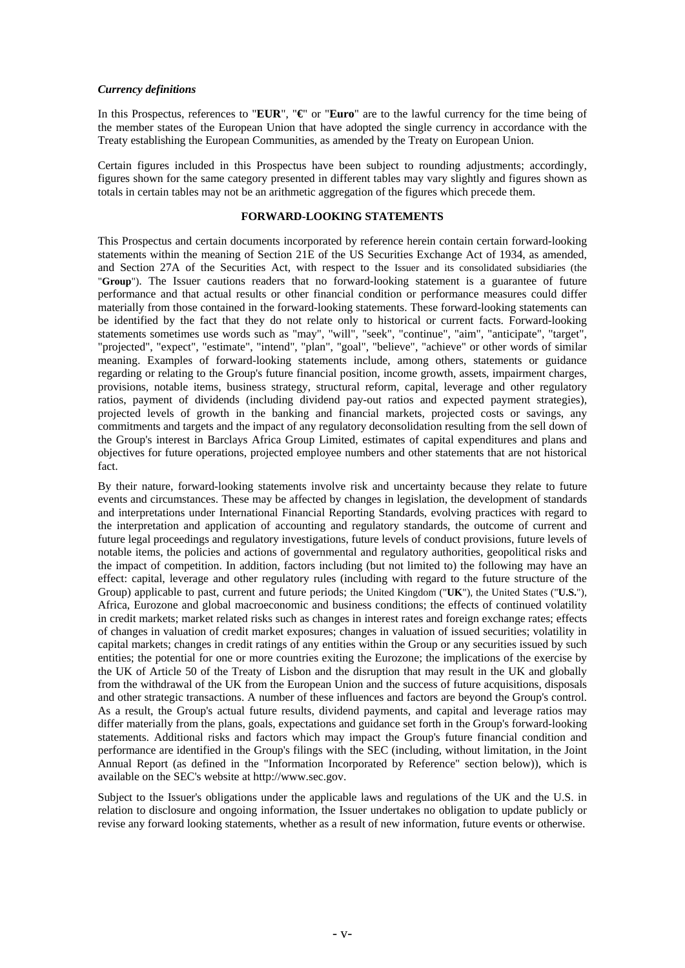#### *Currency definitions*

In this Prospectus, references to "**EUR**", "**€**" or "**Euro**" are to the lawful currency for the time being of the member states of the European Union that have adopted the single currency in accordance with the Treaty establishing the European Communities, as amended by the Treaty on European Union.

Certain figures included in this Prospectus have been subject to rounding adjustments; accordingly, figures shown for the same category presented in different tables may vary slightly and figures shown as totals in certain tables may not be an arithmetic aggregation of the figures which precede them.

#### **FORWARD-LOOKING STATEMENTS**

This Prospectus and certain documents incorporated by reference herein contain certain forward-looking statements within the meaning of Section 21E of the US Securities Exchange Act of 1934, as amended, and Section 27A of the Securities Act, with respect to the Issuer and its consolidated subsidiaries (the "**Group**"). The Issuer cautions readers that no forward-looking statement is a guarantee of future performance and that actual results or other financial condition or performance measures could differ materially from those contained in the forward-looking statements. These forward-looking statements can be identified by the fact that they do not relate only to historical or current facts. Forward-looking statements sometimes use words such as "may", "will", "seek", "continue", "aim", "anticipate", "target", "projected", "expect", "estimate", "intend", "plan", "goal", "believe", "achieve" or other words of similar meaning. Examples of forward-looking statements include, among others, statements or guidance regarding or relating to the Group's future financial position, income growth, assets, impairment charges, provisions, notable items, business strategy, structural reform, capital, leverage and other regulatory ratios, payment of dividends (including dividend pay-out ratios and expected payment strategies), projected levels of growth in the banking and financial markets, projected costs or savings, any commitments and targets and the impact of any regulatory deconsolidation resulting from the sell down of the Group's interest in Barclays Africa Group Limited, estimates of capital expenditures and plans and objectives for future operations, projected employee numbers and other statements that are not historical fact.

By their nature, forward-looking statements involve risk and uncertainty because they relate to future events and circumstances. These may be affected by changes in legislation, the development of standards and interpretations under International Financial Reporting Standards, evolving practices with regard to the interpretation and application of accounting and regulatory standards, the outcome of current and future legal proceedings and regulatory investigations, future levels of conduct provisions, future levels of notable items, the policies and actions of governmental and regulatory authorities, geopolitical risks and the impact of competition. In addition, factors including (but not limited to) the following may have an effect: capital, leverage and other regulatory rules (including with regard to the future structure of the Group) applicable to past, current and future periods; the United Kingdom ("**UK**"), the United States ("**U.S.**"), Africa, Eurozone and global macroeconomic and business conditions; the effects of continued volatility in credit markets; market related risks such as changes in interest rates and foreign exchange rates; effects of changes in valuation of credit market exposures; changes in valuation of issued securities; volatility in capital markets; changes in credit ratings of any entities within the Group or any securities issued by such entities; the potential for one or more countries exiting the Eurozone; the implications of the exercise by the UK of Article 50 of the Treaty of Lisbon and the disruption that may result in the UK and globally from the withdrawal of the UK from the European Union and the success of future acquisitions, disposals and other strategic transactions. A number of these influences and factors are beyond the Group's control. As a result, the Group's actual future results, dividend payments, and capital and leverage ratios may differ materially from the plans, goals, expectations and guidance set forth in the Group's forward-looking statements. Additional risks and factors which may impact the Group's future financial condition and performance are identified in the Group's filings with the SEC (including, without limitation, in the Joint Annual Report (as defined in the "Information Incorporated by Reference" section below)), which is available on the SEC's website at http://www.sec.gov.

Subject to the Issuer's obligations under the applicable laws and regulations of the UK and the U.S. in relation to disclosure and ongoing information, the Issuer undertakes no obligation to update publicly or revise any forward looking statements, whether as a result of new information, future events or otherwise.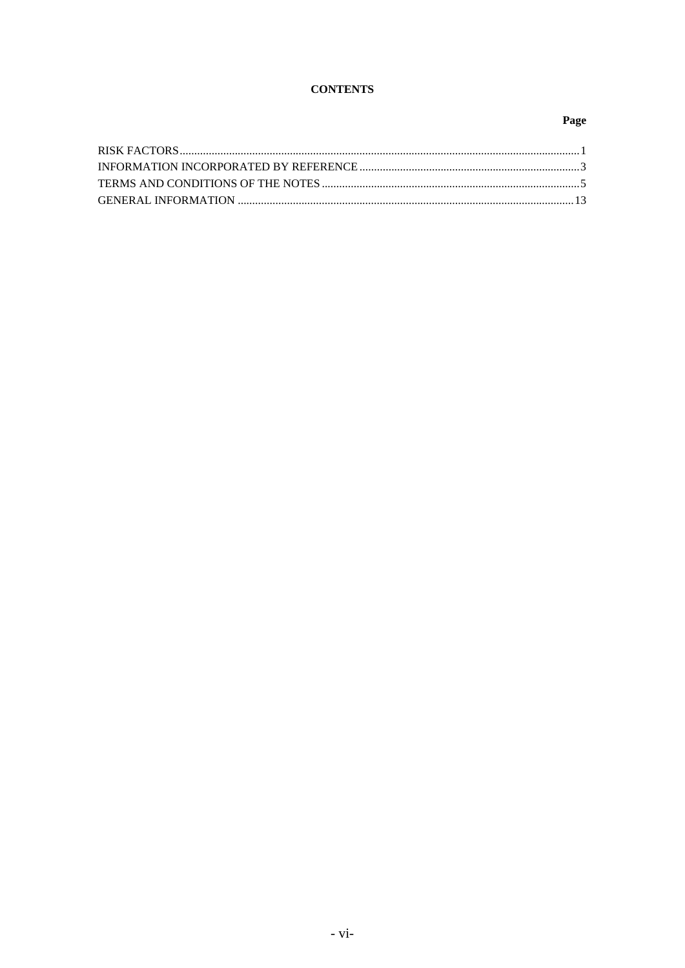# **CONTENTS**

# Page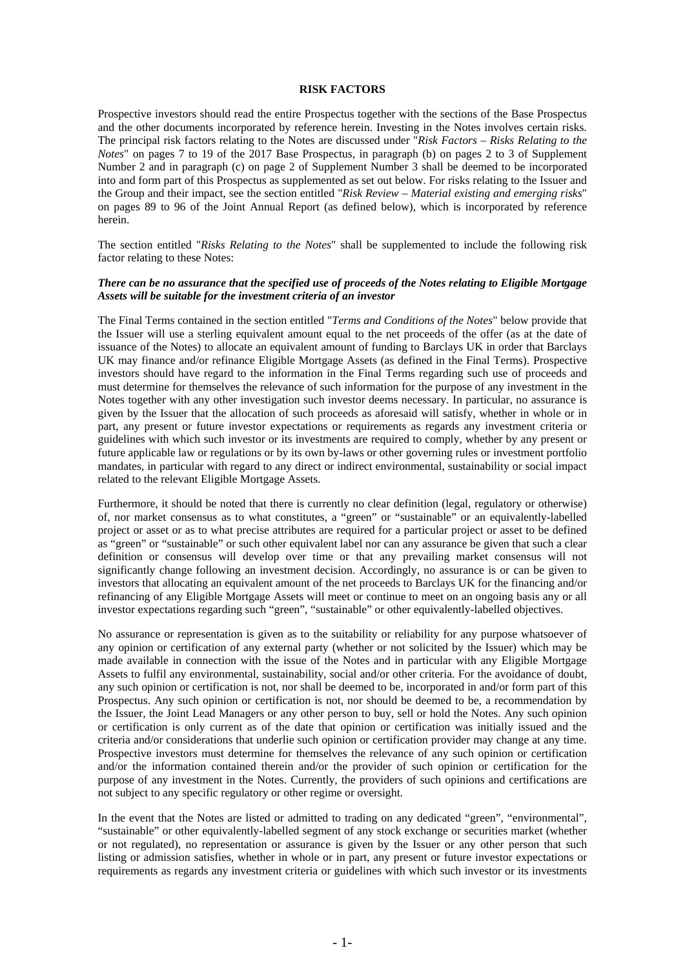#### **RISK FACTORS**

Prospective investors should read the entire Prospectus together with the sections of the Base Prospectus and the other documents incorporated by reference herein. Investing in the Notes involves certain risks. The principal risk factors relating to the Notes are discussed under "*Risk Factors – Risks Relating to the Notes*" on pages 7 to 19 of the 2017 Base Prospectus, in paragraph (b) on pages 2 to 3 of Supplement Number 2 and in paragraph (c) on page 2 of Supplement Number 3 shall be deemed to be incorporated into and form part of this Prospectus as supplemented as set out below. For risks relating to the Issuer and the Group and their impact, see the section entitled "*Risk Review – Material existing and emerging risks*" on pages 89 to 96 of the Joint Annual Report (as defined below), which is incorporated by reference herein.

The section entitled "*Risks Relating to the Notes*" shall be supplemented to include the following risk factor relating to these Notes:

#### *There can be no assurance that the specified use of proceeds of the Notes relating to Eligible Mortgage Assets will be suitable for the investment criteria of an investor*

The Final Terms contained in the section entitled "*Terms and Conditions of the Notes*" below provide that the Issuer will use a sterling equivalent amount equal to the net proceeds of the offer (as at the date of issuance of the Notes) to allocate an equivalent amount of funding to Barclays UK in order that Barclays UK may finance and/or refinance Eligible Mortgage Assets (as defined in the Final Terms). Prospective investors should have regard to the information in the Final Terms regarding such use of proceeds and must determine for themselves the relevance of such information for the purpose of any investment in the Notes together with any other investigation such investor deems necessary. In particular, no assurance is given by the Issuer that the allocation of such proceeds as aforesaid will satisfy, whether in whole or in part, any present or future investor expectations or requirements as regards any investment criteria or guidelines with which such investor or its investments are required to comply, whether by any present or future applicable law or regulations or by its own by-laws or other governing rules or investment portfolio mandates, in particular with regard to any direct or indirect environmental, sustainability or social impact related to the relevant Eligible Mortgage Assets.

Furthermore, it should be noted that there is currently no clear definition (legal, regulatory or otherwise) of, nor market consensus as to what constitutes, a "green" or "sustainable" or an equivalently-labelled project or asset or as to what precise attributes are required for a particular project or asset to be defined as "green" or "sustainable" or such other equivalent label nor can any assurance be given that such a clear definition or consensus will develop over time or that any prevailing market consensus will not significantly change following an investment decision. Accordingly, no assurance is or can be given to investors that allocating an equivalent amount of the net proceeds to Barclays UK for the financing and/or refinancing of any Eligible Mortgage Assets will meet or continue to meet on an ongoing basis any or all investor expectations regarding such "green", "sustainable" or other equivalently-labelled objectives.

No assurance or representation is given as to the suitability or reliability for any purpose whatsoever of any opinion or certification of any external party (whether or not solicited by the Issuer) which may be made available in connection with the issue of the Notes and in particular with any Eligible Mortgage Assets to fulfil any environmental, sustainability, social and/or other criteria. For the avoidance of doubt, any such opinion or certification is not, nor shall be deemed to be, incorporated in and/or form part of this Prospectus. Any such opinion or certification is not, nor should be deemed to be, a recommendation by the Issuer, the Joint Lead Managers or any other person to buy, sell or hold the Notes. Any such opinion or certification is only current as of the date that opinion or certification was initially issued and the criteria and/or considerations that underlie such opinion or certification provider may change at any time. Prospective investors must determine for themselves the relevance of any such opinion or certification and/or the information contained therein and/or the provider of such opinion or certification for the purpose of any investment in the Notes. Currently, the providers of such opinions and certifications are not subject to any specific regulatory or other regime or oversight.

In the event that the Notes are listed or admitted to trading on any dedicated "green", "environmental", "sustainable" or other equivalently-labelled segment of any stock exchange or securities market (whether or not regulated), no representation or assurance is given by the Issuer or any other person that such listing or admission satisfies, whether in whole or in part, any present or future investor expectations or requirements as regards any investment criteria or guidelines with which such investor or its investments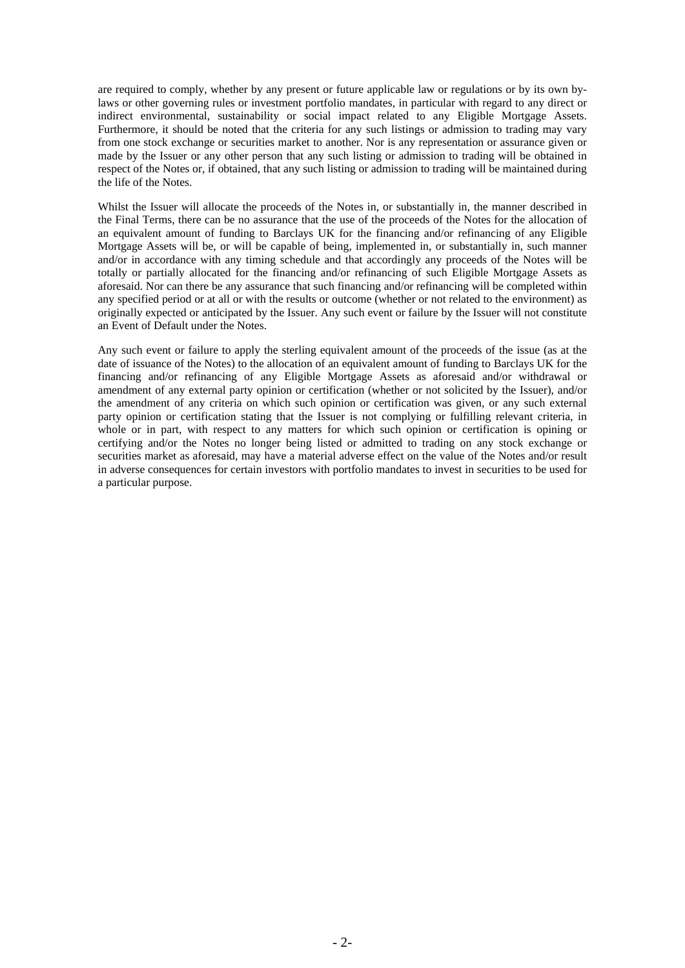are required to comply, whether by any present or future applicable law or regulations or by its own bylaws or other governing rules or investment portfolio mandates, in particular with regard to any direct or indirect environmental, sustainability or social impact related to any Eligible Mortgage Assets. Furthermore, it should be noted that the criteria for any such listings or admission to trading may vary from one stock exchange or securities market to another. Nor is any representation or assurance given or made by the Issuer or any other person that any such listing or admission to trading will be obtained in respect of the Notes or, if obtained, that any such listing or admission to trading will be maintained during the life of the Notes.

Whilst the Issuer will allocate the proceeds of the Notes in, or substantially in, the manner described in the Final Terms, there can be no assurance that the use of the proceeds of the Notes for the allocation of an equivalent amount of funding to Barclays UK for the financing and/or refinancing of any Eligible Mortgage Assets will be, or will be capable of being, implemented in, or substantially in, such manner and/or in accordance with any timing schedule and that accordingly any proceeds of the Notes will be totally or partially allocated for the financing and/or refinancing of such Eligible Mortgage Assets as aforesaid. Nor can there be any assurance that such financing and/or refinancing will be completed within any specified period or at all or with the results or outcome (whether or not related to the environment) as originally expected or anticipated by the Issuer. Any such event or failure by the Issuer will not constitute an Event of Default under the Notes.

Any such event or failure to apply the sterling equivalent amount of the proceeds of the issue (as at the date of issuance of the Notes) to the allocation of an equivalent amount of funding to Barclays UK for the financing and/or refinancing of any Eligible Mortgage Assets as aforesaid and/or withdrawal or amendment of any external party opinion or certification (whether or not solicited by the Issuer), and/or the amendment of any criteria on which such opinion or certification was given, or any such external party opinion or certification stating that the Issuer is not complying or fulfilling relevant criteria, in whole or in part, with respect to any matters for which such opinion or certification is opining or certifying and/or the Notes no longer being listed or admitted to trading on any stock exchange or securities market as aforesaid, may have a material adverse effect on the value of the Notes and/or result in adverse consequences for certain investors with portfolio mandates to invest in securities to be used for a particular purpose.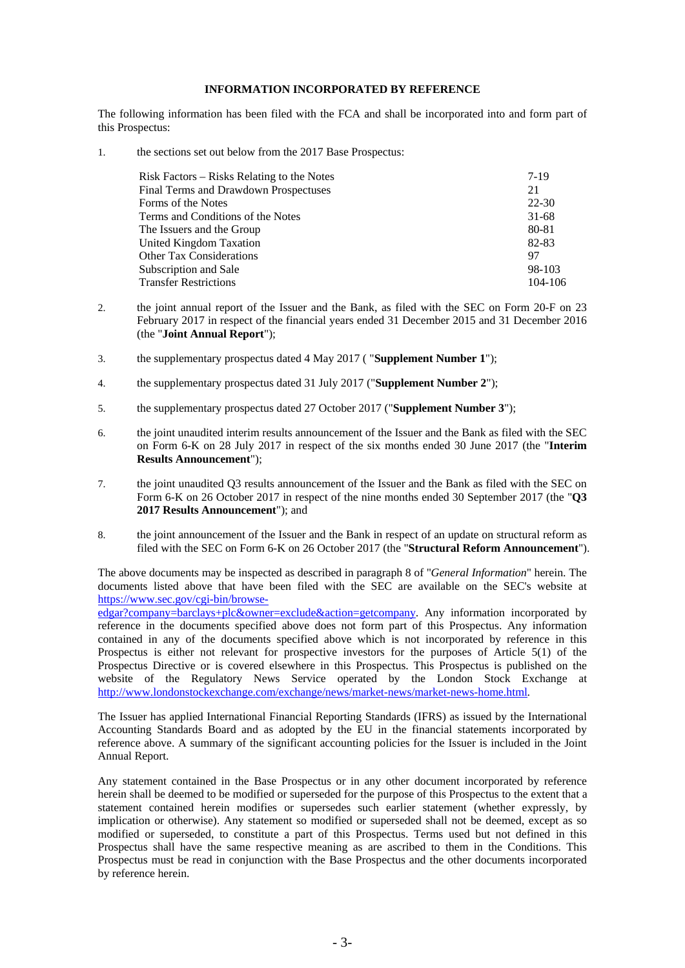## **INFORMATION INCORPORATED BY REFERENCE**

The following information has been filed with the FCA and shall be incorporated into and form part of this Prospectus:

1. the sections set out below from the 2017 Base Prospectus:

| Risk Factors – Risks Relating to the Notes | 7-19      |
|--------------------------------------------|-----------|
| Final Terms and Drawdown Prospectuses      | 21        |
| Forms of the Notes                         | 22-30     |
| Terms and Conditions of the Notes          | $31 - 68$ |
| The Issuers and the Group                  | 80-81     |
| United Kingdom Taxation                    | 82-83     |
| <b>Other Tax Considerations</b>            | 97        |
| Subscription and Sale                      | 98-103    |
| <b>Transfer Restrictions</b>               | 104-106   |

- 2. the joint annual report of the Issuer and the Bank, as filed with the SEC on Form 20-F on 23 February 2017 in respect of the financial years ended 31 December 2015 and 31 December 2016 (the "**Joint Annual Report**");
- 3. the supplementary prospectus dated 4 May 2017 ( "**Supplement Number 1**");
- 4. the supplementary prospectus dated 31 July 2017 ("**Supplement Number 2**");
- 5. the supplementary prospectus dated 27 October 2017 ("**Supplement Number 3**");
- 6. the joint unaudited interim results announcement of the Issuer and the Bank as filed with the SEC on Form 6-K on 28 July 2017 in respect of the six months ended 30 June 2017 (the "**Interim Results Announcement**");
- 7. the joint unaudited Q3 results announcement of the Issuer and the Bank as filed with the SEC on Form 6-K on 26 October 2017 in respect of the nine months ended 30 September 2017 (the "**Q3 2017 Results Announcement**"); and
- 8. the joint announcement of the Issuer and the Bank in respect of an update on structural reform as filed with the SEC on Form 6-K on 26 October 2017 (the "**Structural Reform Announcement**").

The above documents may be inspected as described in paragraph 8 of "*General Information*" herein. The documents listed above that have been filed with the SEC are available on the SEC's website at https://www.sec.gov/cgi-bin/browse-

edgar?company=barclays+plc&owner=exclude&action=getcompany. Any information incorporated by reference in the documents specified above does not form part of this Prospectus. Any information contained in any of the documents specified above which is not incorporated by reference in this Prospectus is either not relevant for prospective investors for the purposes of Article 5(1) of the Prospectus Directive or is covered elsewhere in this Prospectus. This Prospectus is published on the website of the Regulatory News Service operated by the London Stock Exchange at http://www.londonstockexchange.com/exchange/news/market-news/market-news-home.html.

The Issuer has applied International Financial Reporting Standards (IFRS) as issued by the International Accounting Standards Board and as adopted by the EU in the financial statements incorporated by reference above. A summary of the significant accounting policies for the Issuer is included in the Joint Annual Report.

Any statement contained in the Base Prospectus or in any other document incorporated by reference herein shall be deemed to be modified or superseded for the purpose of this Prospectus to the extent that a statement contained herein modifies or supersedes such earlier statement (whether expressly, by implication or otherwise). Any statement so modified or superseded shall not be deemed, except as so modified or superseded, to constitute a part of this Prospectus. Terms used but not defined in this Prospectus shall have the same respective meaning as are ascribed to them in the Conditions. This Prospectus must be read in conjunction with the Base Prospectus and the other documents incorporated by reference herein.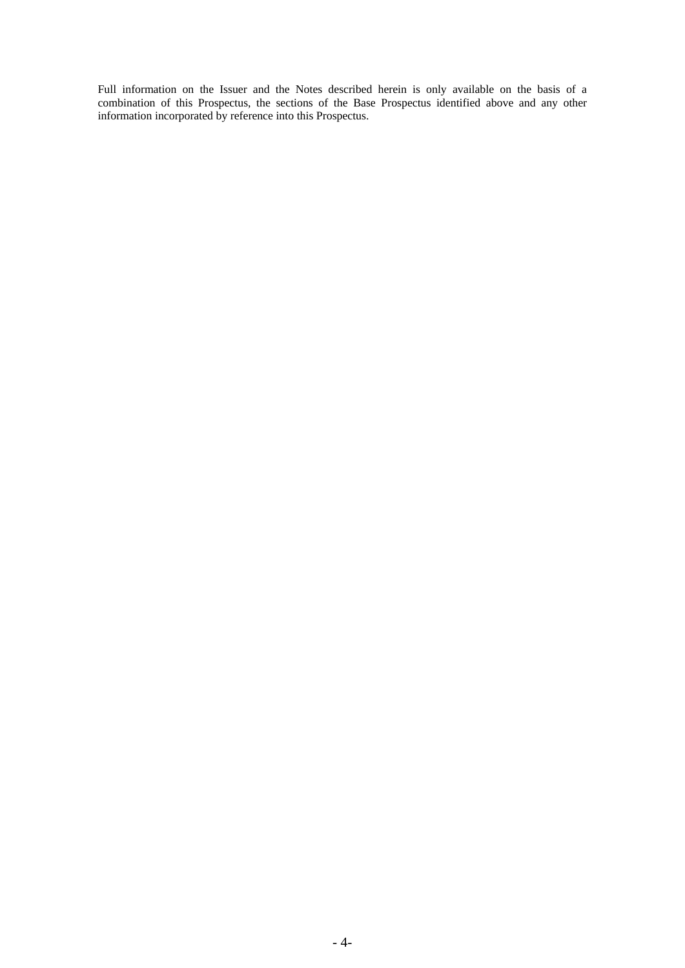Full information on the Issuer and the Notes described herein is only available on the basis of a combination of this Prospectus, the sections of the Base Prospectus identified above and any other information incorporated by reference into this Prospectus.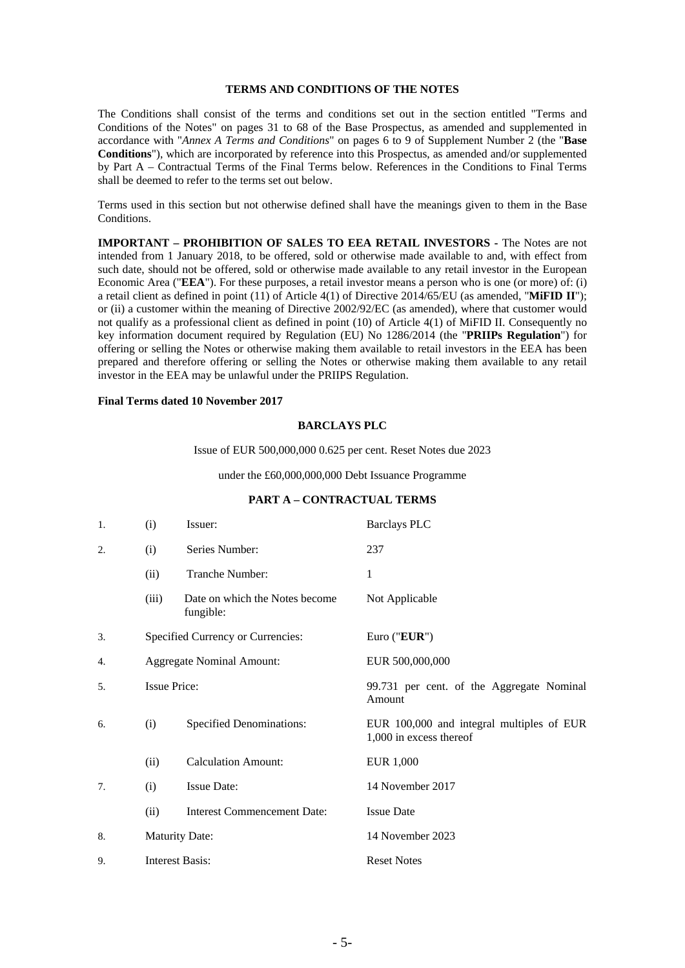# **TERMS AND CONDITIONS OF THE NOTES**

The Conditions shall consist of the terms and conditions set out in the section entitled "Terms and Conditions of the Notes" on pages 31 to 68 of the Base Prospectus, as amended and supplemented in accordance with "*Annex A Terms and Conditions*" on pages 6 to 9 of Supplement Number 2 (the "**Base Conditions**"), which are incorporated by reference into this Prospectus, as amended and/or supplemented by Part A – Contractual Terms of the Final Terms below. References in the Conditions to Final Terms shall be deemed to refer to the terms set out below.

Terms used in this section but not otherwise defined shall have the meanings given to them in the Base Conditions.

**IMPORTANT – PROHIBITION OF SALES TO EEA RETAIL INVESTORS -** The Notes are not intended from 1 January 2018, to be offered, sold or otherwise made available to and, with effect from such date, should not be offered, sold or otherwise made available to any retail investor in the European Economic Area ("**EEA**"). For these purposes, a retail investor means a person who is one (or more) of: (i) a retail client as defined in point (11) of Article 4(1) of Directive 2014/65/EU (as amended, "**MiFID II**"); or (ii) a customer within the meaning of Directive 2002/92/EC (as amended), where that customer would not qualify as a professional client as defined in point (10) of Article 4(1) of MiFID II. Consequently no key information document required by Regulation (EU) No 1286/2014 (the "**PRIIPs Regulation**") for offering or selling the Notes or otherwise making them available to retail investors in the EEA has been prepared and therefore offering or selling the Notes or otherwise making them available to any retail investor in the EEA may be unlawful under the PRIIPS Regulation.

# **Final Terms dated 10 November 2017**

#### **BARCLAYS PLC**

Issue of EUR 500,000,000 0.625 per cent. Reset Notes due 2023

under the £60,000,000,000 Debt Issuance Programme

#### **PART A – CONTRACTUAL TERMS**

| 1. | (i)                              | Issuer:                                     | <b>Barclays PLC</b>                                                  |
|----|----------------------------------|---------------------------------------------|----------------------------------------------------------------------|
| 2. | (i)                              | Series Number:                              | 237                                                                  |
|    | (ii)                             | Tranche Number:                             | 1                                                                    |
|    | (iii)                            | Date on which the Notes become<br>fungible: | Not Applicable                                                       |
| 3. |                                  | Specified Currency or Currencies:           | Euro (" $EUR$ ")                                                     |
| 4. | <b>Aggregate Nominal Amount:</b> |                                             | EUR 500,000,000                                                      |
| 5. | <b>Issue Price:</b>              |                                             | 99.731 per cent. of the Aggregate Nominal<br>Amount                  |
| 6. | (i)                              | <b>Specified Denominations:</b>             | EUR 100,000 and integral multiples of EUR<br>1,000 in excess thereof |
|    | (ii)                             | <b>Calculation Amount:</b>                  | <b>EUR 1,000</b>                                                     |
| 7. | (i)                              | <b>Issue Date:</b>                          | 14 November 2017                                                     |
|    | (ii)                             | <b>Interest Commencement Date:</b>          | <b>Issue Date</b>                                                    |
| 8. | <b>Maturity Date:</b>            |                                             | 14 November 2023                                                     |
| 9. | <b>Interest Basis:</b>           |                                             | <b>Reset Notes</b>                                                   |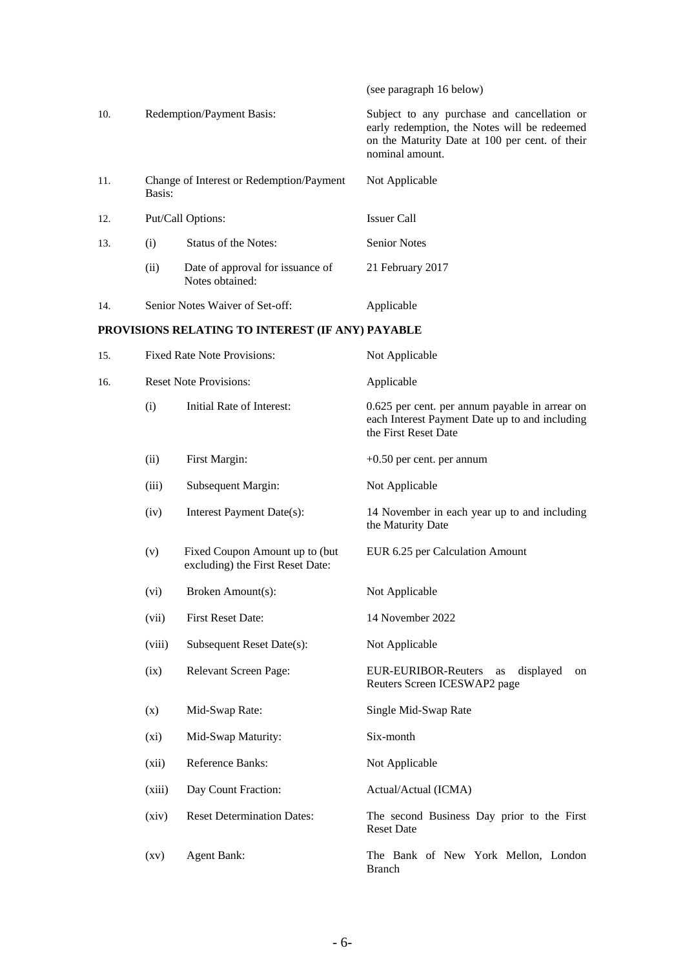|     |                                                    |                                                     | (see paragraph 16 below)                                                                                                                                         |
|-----|----------------------------------------------------|-----------------------------------------------------|------------------------------------------------------------------------------------------------------------------------------------------------------------------|
| 10. | Redemption/Payment Basis:                          |                                                     | Subject to any purchase and cancellation or<br>early redemption, the Notes will be redeemed<br>on the Maturity Date at 100 per cent. of their<br>nominal amount. |
| 11. | Change of Interest or Redemption/Payment<br>Basis: |                                                     | Not Applicable                                                                                                                                                   |
| 12. |                                                    | Put/Call Options:                                   | <b>Issuer Call</b>                                                                                                                                               |
| 13. | (i)                                                | Status of the Notes:                                | <b>Senior Notes</b>                                                                                                                                              |
|     | (ii)                                               | Date of approval for issuance of<br>Notes obtained: | 21 February 2017                                                                                                                                                 |
| 14. |                                                    | Senior Notes Waiver of Set-off:                     | Applicable                                                                                                                                                       |
|     |                                                    | PROVISIONS RELATING TO INTEREST (IF ANY) PAYABLE    |                                                                                                                                                                  |
| 15. | <b>Fixed Rate Note Provisions:</b>                 |                                                     | Not Applicable                                                                                                                                                   |
| 16. | <b>Reset Note Provisions:</b>                      |                                                     | Applicable                                                                                                                                                       |
|     | (i)                                                | Initial Rate of Interest:                           | 0.625 per cent. per annum payable in arrear on<br>each Interest Payment Date up to and including<br>the First Reset Date                                         |
|     | (ii)                                               | First Margin:                                       | $+0.50$ per cent. per annum                                                                                                                                      |
|     |                                                    |                                                     |                                                                                                                                                                  |

| 15. |                    | <b>Fixed Rate Note Provisions:</b>                                 | Not Applicable                                                                                                           |  |
|-----|--------------------|--------------------------------------------------------------------|--------------------------------------------------------------------------------------------------------------------------|--|
| 16. |                    | <b>Reset Note Provisions:</b>                                      | Applicable                                                                                                               |  |
|     | (i)                | Initial Rate of Interest:                                          | 0.625 per cent. per annum payable in arrear on<br>each Interest Payment Date up to and including<br>the First Reset Date |  |
|     | (ii)               | First Margin:                                                      | $+0.50$ per cent. per annum                                                                                              |  |
|     | (iii)              | Subsequent Margin:                                                 | Not Applicable                                                                                                           |  |
|     | (iv)               | Interest Payment Date(s):                                          | 14 November in each year up to and including<br>the Maturity Date                                                        |  |
|     | (v)                | Fixed Coupon Amount up to (but<br>excluding) the First Reset Date: | EUR 6.25 per Calculation Amount                                                                                          |  |
|     | (vi)               | Broken Amount(s):                                                  | Not Applicable                                                                                                           |  |
|     | (vii)              | <b>First Reset Date:</b>                                           | 14 November 2022                                                                                                         |  |
|     | (viii)             | Subsequent Reset Date(s):                                          | Not Applicable                                                                                                           |  |
|     | (ix)               | Relevant Screen Page:                                              | <b>EUR-EURIBOR-Reuters</b><br>displayed<br>as<br>on<br>Reuters Screen ICESWAP2 page                                      |  |
|     | (x)                | Mid-Swap Rate:                                                     | Single Mid-Swap Rate                                                                                                     |  |
|     | (xi)               | Mid-Swap Maturity:                                                 | Six-month                                                                                                                |  |
|     | (xii)              | Reference Banks:                                                   | Not Applicable                                                                                                           |  |
|     | (xiii)             | Day Count Fraction:                                                | Actual/Actual (ICMA)                                                                                                     |  |
|     | (xiv)              | <b>Reset Determination Dates:</b>                                  | The second Business Day prior to the First<br><b>Reset Date</b>                                                          |  |
|     | $\left( xy\right)$ | <b>Agent Bank:</b>                                                 | The Bank of New York Mellon, London<br><b>Branch</b>                                                                     |  |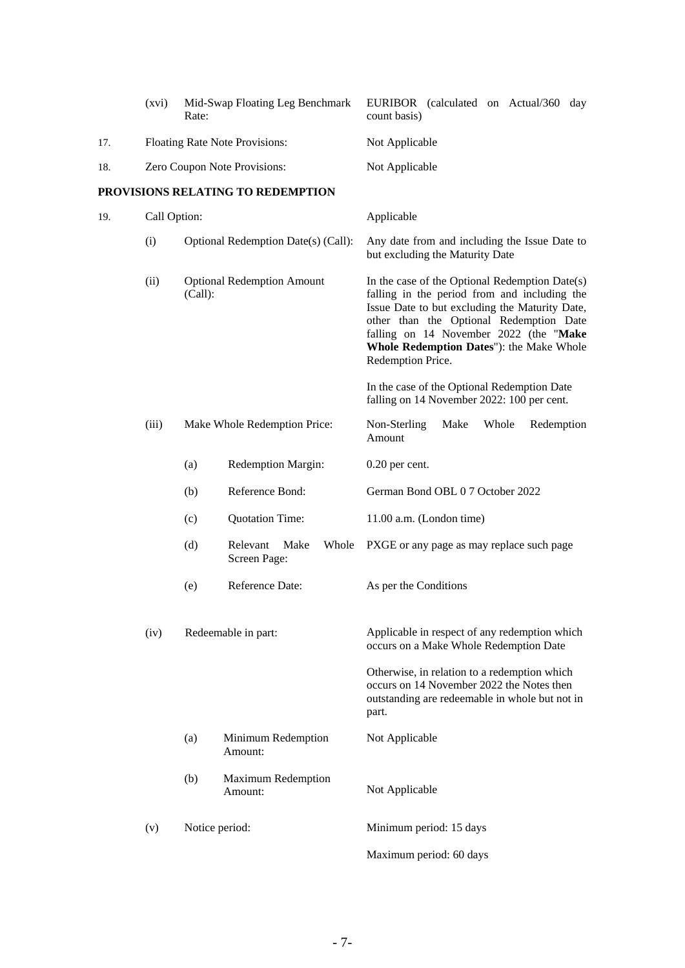|     | (xvi)                          | Mid-Swap Floating Leg Benchmark<br>Rate:         | EURIBOR (calculated on Actual/360<br>day<br>count basis)                                                                                                                                                                                                                                               |
|-----|--------------------------------|--------------------------------------------------|--------------------------------------------------------------------------------------------------------------------------------------------------------------------------------------------------------------------------------------------------------------------------------------------------------|
| 17. | Floating Rate Note Provisions: |                                                  | Not Applicable                                                                                                                                                                                                                                                                                         |
| 18. | Zero Coupon Note Provisions:   |                                                  | Not Applicable                                                                                                                                                                                                                                                                                         |
|     |                                | PROVISIONS RELATING TO REDEMPTION                |                                                                                                                                                                                                                                                                                                        |
| 19. | Call Option:                   |                                                  | Applicable                                                                                                                                                                                                                                                                                             |
|     | (i)                            | Optional Redemption Date(s) (Call):              | Any date from and including the Issue Date to<br>but excluding the Maturity Date                                                                                                                                                                                                                       |
|     | (ii)                           | <b>Optional Redemption Amount</b><br>(Call):     | In the case of the Optional Redemption Date(s)<br>falling in the period from and including the<br>Issue Date to but excluding the Maturity Date,<br>other than the Optional Redemption Date<br>falling on 14 November 2022 (the "Make<br>Whole Redemption Dates"): the Make Whole<br>Redemption Price. |
|     |                                |                                                  | In the case of the Optional Redemption Date<br>falling on 14 November 2022: 100 per cent.                                                                                                                                                                                                              |
|     | (iii)                          | Make Whole Redemption Price:                     | Whole<br>Non-Sterling<br>Make<br>Redemption<br>Amount                                                                                                                                                                                                                                                  |
|     |                                | Redemption Margin:<br>(a)                        | $0.20$ per cent.                                                                                                                                                                                                                                                                                       |
|     |                                | Reference Bond:<br>(b)                           | German Bond OBL 0 7 October 2022                                                                                                                                                                                                                                                                       |
|     |                                | <b>Quotation Time:</b><br>(c)                    | $11.00$ a.m. (London time)                                                                                                                                                                                                                                                                             |
|     |                                | Whole<br>(d)<br>Relevant<br>Make<br>Screen Page: | PXGE or any page as may replace such page                                                                                                                                                                                                                                                              |
|     |                                | Reference Date:<br>(e)                           | As per the Conditions                                                                                                                                                                                                                                                                                  |
|     | (iv)                           | Redeemable in part:                              | Applicable in respect of any redemption which<br>occurs on a Make Whole Redemption Date                                                                                                                                                                                                                |
|     |                                |                                                  | Otherwise, in relation to a redemption which<br>occurs on 14 November 2022 the Notes then<br>outstanding are redeemable in whole but not in<br>part.                                                                                                                                                   |
|     |                                | Minimum Redemption<br>(a)<br>Amount:             | Not Applicable                                                                                                                                                                                                                                                                                         |
|     |                                | <b>Maximum Redemption</b><br>(b)<br>Amount:      | Not Applicable                                                                                                                                                                                                                                                                                         |
|     | (v)                            | Notice period:                                   | Minimum period: 15 days                                                                                                                                                                                                                                                                                |
|     |                                |                                                  | Maximum period: 60 days                                                                                                                                                                                                                                                                                |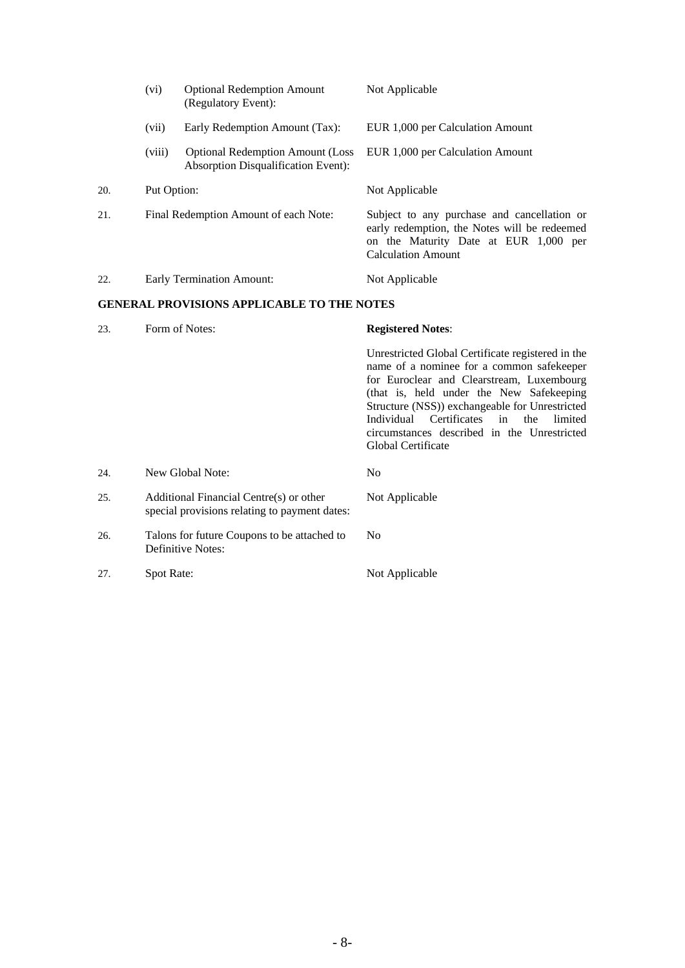|     | (vi)                                  | <b>Optional Redemption Amount</b><br>(Regulatory Event):                                 | Not Applicable                                                                                                                                                                                                                                                                                                                                                       |
|-----|---------------------------------------|------------------------------------------------------------------------------------------|----------------------------------------------------------------------------------------------------------------------------------------------------------------------------------------------------------------------------------------------------------------------------------------------------------------------------------------------------------------------|
|     | (vii)                                 | Early Redemption Amount (Tax):                                                           | EUR 1,000 per Calculation Amount                                                                                                                                                                                                                                                                                                                                     |
|     | (viii)                                | <b>Optional Redemption Amount (Loss</b><br><b>Absorption Disqualification Event):</b>    | EUR 1,000 per Calculation Amount                                                                                                                                                                                                                                                                                                                                     |
| 20. | Put Option:                           |                                                                                          | Not Applicable                                                                                                                                                                                                                                                                                                                                                       |
| 21. | Final Redemption Amount of each Note: |                                                                                          | Subject to any purchase and cancellation or<br>early redemption, the Notes will be redeemed<br>on the Maturity Date at EUR 1,000 per<br><b>Calculation Amount</b>                                                                                                                                                                                                    |
| 22. |                                       | <b>Early Termination Amount:</b>                                                         | Not Applicable                                                                                                                                                                                                                                                                                                                                                       |
|     |                                       | <b>GENERAL PROVISIONS APPLICABLE TO THE NOTES</b>                                        |                                                                                                                                                                                                                                                                                                                                                                      |
| 23. |                                       | Form of Notes:                                                                           | <b>Registered Notes:</b>                                                                                                                                                                                                                                                                                                                                             |
|     |                                       |                                                                                          | Unrestricted Global Certificate registered in the<br>name of a nominee for a common safekeeper<br>for Euroclear and Clearstream, Luxembourg<br>(that is, held under the New Safekeeping<br>Structure (NSS)) exchangeable for Unrestricted<br>Certificates<br>Individual<br>in<br>the<br>limited<br>circumstances described in the Unrestricted<br>Global Certificate |
| 24. |                                       | New Global Note:                                                                         | N <sub>o</sub>                                                                                                                                                                                                                                                                                                                                                       |
| 25. |                                       | Additional Financial Centre(s) or other<br>special provisions relating to payment dates: | Not Applicable                                                                                                                                                                                                                                                                                                                                                       |
| 26. |                                       | Talons for future Coupons to be attached to                                              | No                                                                                                                                                                                                                                                                                                                                                                   |

27. Spot Rate: Not Applicable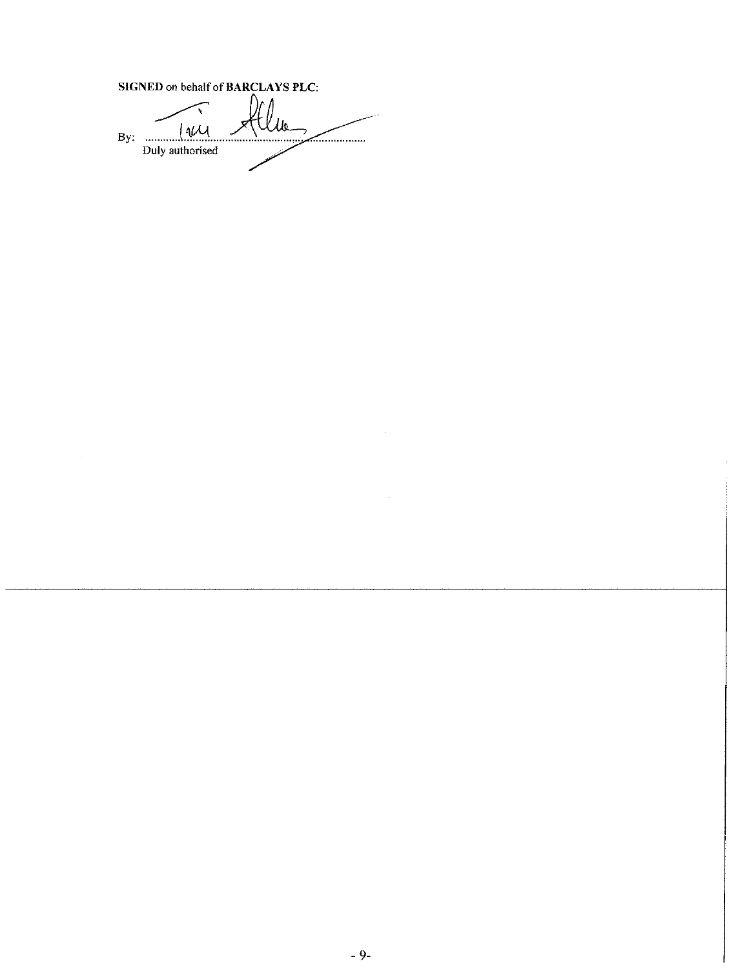SIGNED on behalf of BARCLAYS PLC: lw\_  $14\mu$ By:  $\ldots$  $\leq$   $\leq$   $\leq$   $\leq$   $\leq$   $\leq$   $\leq$   $\leq$   $\leq$   $\leq$   $\leq$   $\leq$   $\leq$   $\leq$   $\leq$   $\leq$   $\leq$   $\leq$   $\leq$   $\leq$   $\leq$   $\leq$   $\leq$   $\leq$   $\leq$   $\leq$   $\leq$   $\leq$   $\leq$   $\leq$   $\leq$   $\leq$   $\leq$   $\leq$   $\leq$   $\leq$   $\leq$ Duly authorised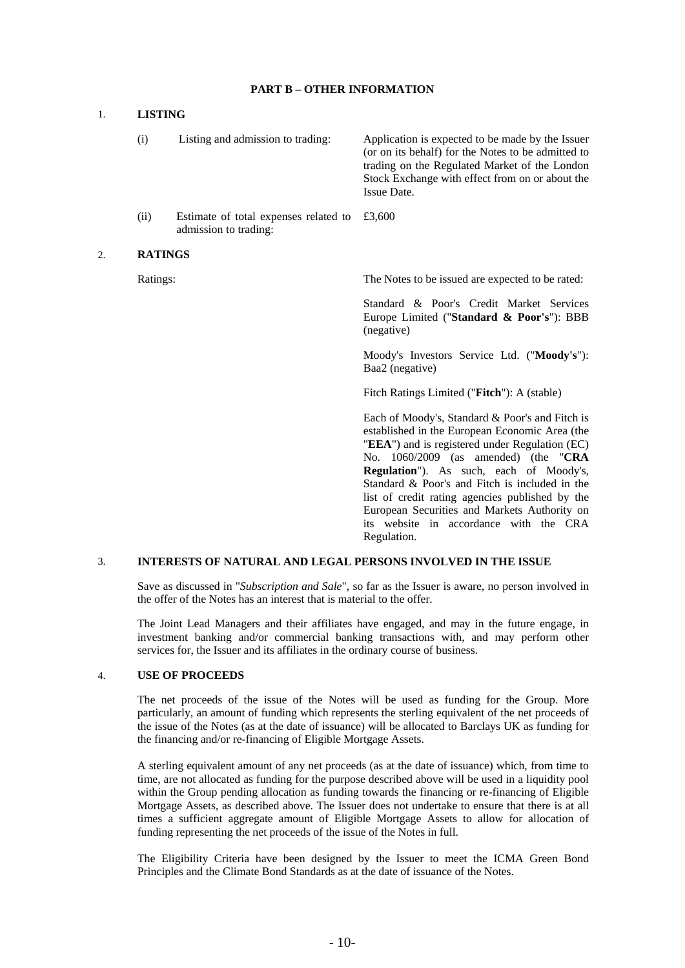#### **PART B – OTHER INFORMATION**

#### 1. **LISTING**

- (i) Listing and admission to trading: Application is expected to be made by the Issuer (or on its behalf) for the Notes to be admitted to trading on the Regulated Market of the London Stock Exchange with effect from on or about the Issue Date. £3,600
- (ii) Estimate of total expenses related to admission to trading:

#### 2. **RATINGS**

Ratings: The Notes to be issued are expected to be rated:

 Standard & Poor's Credit Market Services Europe Limited ("**Standard & Poor's**"): BBB (negative)

 Moody's Investors Service Ltd. ("**Moody's**"): Baa2 (negative)

Fitch Ratings Limited ("**Fitch**"): A (stable)

 Each of Moody's, Standard & Poor's and Fitch is established in the European Economic Area (the "**EEA**") and is registered under Regulation (EC) No. 1060/2009 (as amended) (the "**CRA Regulation**"). As such, each of Moody's, Standard & Poor's and Fitch is included in the list of credit rating agencies published by the European Securities and Markets Authority on its website in accordance with the CRA Regulation.

#### 3. **INTERESTS OF NATURAL AND LEGAL PERSONS INVOLVED IN THE ISSUE**

 Save as discussed in "*Subscription and Sale*", so far as the Issuer is aware, no person involved in the offer of the Notes has an interest that is material to the offer.

 The Joint Lead Managers and their affiliates have engaged, and may in the future engage, in investment banking and/or commercial banking transactions with, and may perform other services for, the Issuer and its affiliates in the ordinary course of business.

#### 4. **USE OF PROCEEDS**

 The net proceeds of the issue of the Notes will be used as funding for the Group. More particularly, an amount of funding which represents the sterling equivalent of the net proceeds of the issue of the Notes (as at the date of issuance) will be allocated to Barclays UK as funding for the financing and/or re-financing of Eligible Mortgage Assets.

A sterling equivalent amount of any net proceeds (as at the date of issuance) which, from time to time, are not allocated as funding for the purpose described above will be used in a liquidity pool within the Group pending allocation as funding towards the financing or re-financing of Eligible Mortgage Assets, as described above. The Issuer does not undertake to ensure that there is at all times a sufficient aggregate amount of Eligible Mortgage Assets to allow for allocation of funding representing the net proceeds of the issue of the Notes in full.

The Eligibility Criteria have been designed by the Issuer to meet the ICMA Green Bond Principles and the Climate Bond Standards as at the date of issuance of the Notes.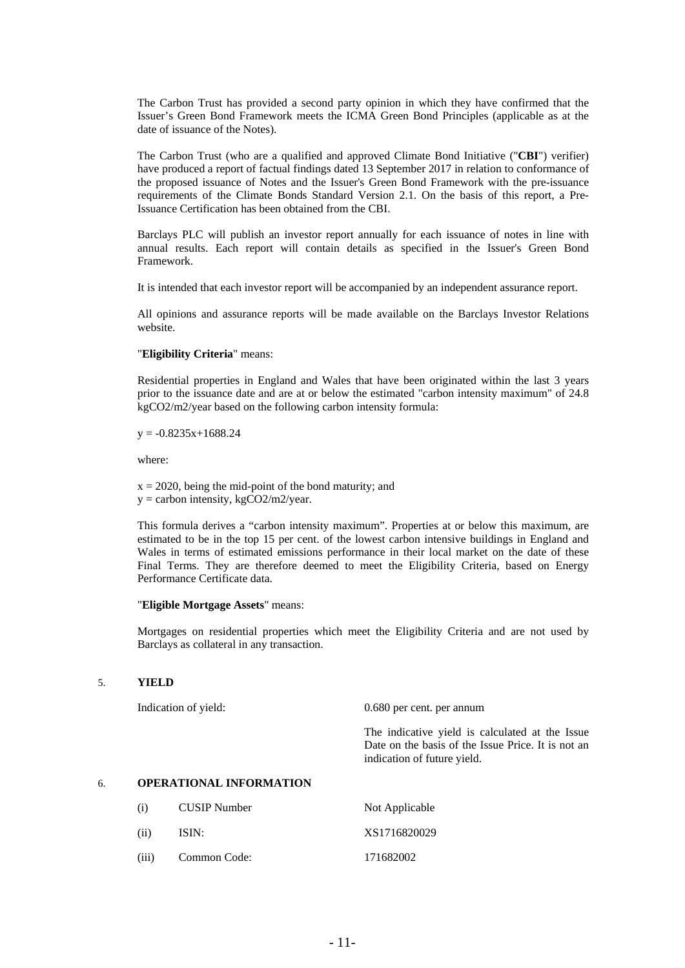The Carbon Trust has provided a second party opinion in which they have confirmed that the Issuer's Green Bond Framework meets the ICMA Green Bond Principles (applicable as at the date of issuance of the Notes).

The Carbon Trust (who are a qualified and approved Climate Bond Initiative ("**CBI**") verifier) have produced a report of factual findings dated 13 September 2017 in relation to conformance of the proposed issuance of Notes and the Issuer's Green Bond Framework with the pre-issuance requirements of the Climate Bonds Standard Version 2.1. On the basis of this report, a Pre-Issuance Certification has been obtained from the CBI.

Barclays PLC will publish an investor report annually for each issuance of notes in line with annual results. Each report will contain details as specified in the Issuer's Green Bond Framework.

It is intended that each investor report will be accompanied by an independent assurance report.

All opinions and assurance reports will be made available on the Barclays Investor Relations website.

#### "**Eligibility Criteria**" means:

Residential properties in England and Wales that have been originated within the last 3 years prior to the issuance date and are at or below the estimated "carbon intensity maximum" of 24.8 kgCO2/m2/year based on the following carbon intensity formula:

 $y = -0.8235x + 1688.24$ 

where:

 $x = 2020$ , being the mid-point of the bond maturity; and  $y =$  carbon intensity, kgCO2/m2/year.

This formula derives a "carbon intensity maximum". Properties at or below this maximum, are estimated to be in the top 15 per cent. of the lowest carbon intensive buildings in England and Wales in terms of estimated emissions performance in their local market on the date of these Final Terms. They are therefore deemed to meet the Eligibility Criteria, based on Energy Performance Certificate data.

#### "**Eligible Mortgage Assets**" means:

Mortgages on residential properties which meet the Eligibility Criteria and are not used by Barclays as collateral in any transaction.

## 5. **YIELD**

Indication of yield: 0.680 per cent. per annum

 The indicative yield is calculated at the Issue Date on the basis of the Issue Price. It is not an indication of future yield.

#### 6. **OPERATIONAL INFORMATION**

| (1)   | <b>CUSIP</b> Number | Not Applicable |
|-------|---------------------|----------------|
| (i)   | ISIN:               | XS1716820029   |
| (iii) | Common Code:        | 171682002      |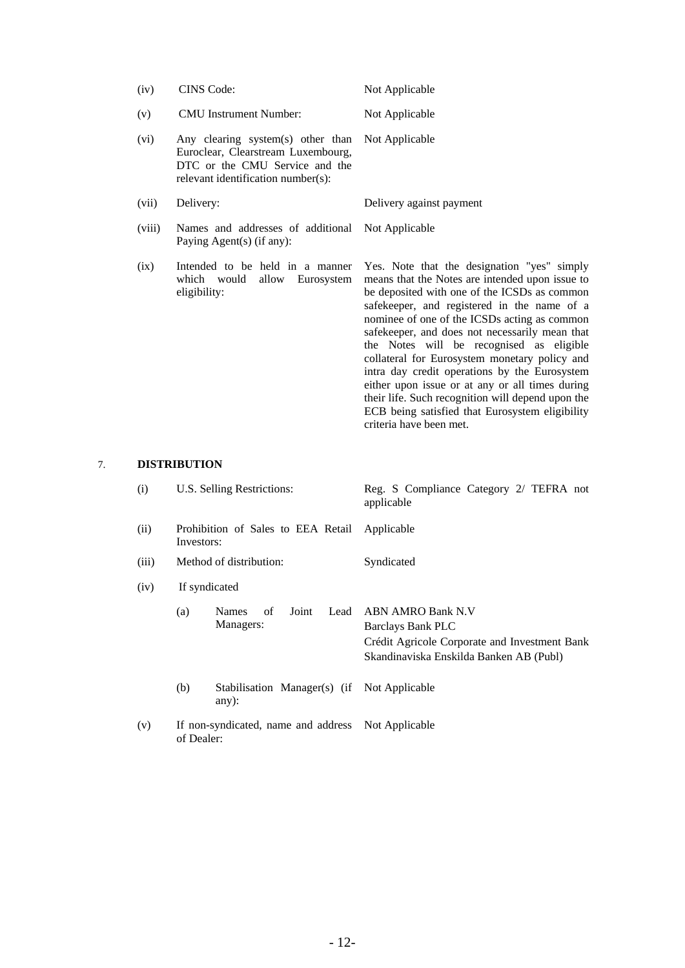| (iv)   | <b>CINS</b> Code:                                                                                                                               | Not Applicable                                                                                                                                                                                                                                                                                                                                                                                                                                                                                                                                                                                                                      |
|--------|-------------------------------------------------------------------------------------------------------------------------------------------------|-------------------------------------------------------------------------------------------------------------------------------------------------------------------------------------------------------------------------------------------------------------------------------------------------------------------------------------------------------------------------------------------------------------------------------------------------------------------------------------------------------------------------------------------------------------------------------------------------------------------------------------|
| (v)    | <b>CMU</b> Instrument Number:                                                                                                                   | Not Applicable                                                                                                                                                                                                                                                                                                                                                                                                                                                                                                                                                                                                                      |
| (vi)   | Any clearing system(s) other than<br>Euroclear, Clearstream Luxembourg,<br>DTC or the CMU Service and the<br>relevant identification number(s): | Not Applicable                                                                                                                                                                                                                                                                                                                                                                                                                                                                                                                                                                                                                      |
| (vii)  | Delivery:                                                                                                                                       | Delivery against payment                                                                                                                                                                                                                                                                                                                                                                                                                                                                                                                                                                                                            |
| (viii) | Names and addresses of additional<br>Paying Agent(s) (if any):                                                                                  | Not Applicable                                                                                                                                                                                                                                                                                                                                                                                                                                                                                                                                                                                                                      |
| (ix)   | Intended to be held in a manner<br>which would<br>allow Eurosystem<br>eligibility:                                                              | Yes. Note that the designation "yes" simply<br>means that the Notes are intended upon issue to<br>be deposited with one of the ICSDs as common<br>safekeeper, and registered in the name of a<br>nominee of one of the ICSDs acting as common<br>safekeeper, and does not necessarily mean that<br>the Notes will be recognised as eligible<br>collateral for Eurosystem monetary policy and<br>intra day credit operations by the Eurosystem<br>either upon issue or at any or all times during<br>their life. Such recognition will depend upon the<br>ECB being satisfied that Eurosystem eligibility<br>criteria have been met. |

# 7. **DISTRIBUTION**

| (i)   | U.S. Selling Restrictions:                                       | Reg. S Compliance Category 2/ TEFRA not<br>applicable                                                                              |
|-------|------------------------------------------------------------------|------------------------------------------------------------------------------------------------------------------------------------|
| (ii)  | Prohibition of Sales to EEA Retail<br>Investors:                 | Applicable                                                                                                                         |
| (iii) | Method of distribution:                                          | Syndicated                                                                                                                         |
| (iv)  | If syndicated                                                    |                                                                                                                                    |
|       | of<br>(a)<br>Joint<br>Lead<br><b>Names</b><br>Managers:          | ABN AMRO Bank N.V<br>Barclays Bank PLC<br>Crédit Agricole Corporate and Investment Bank<br>Skandinaviska Enskilda Banken AB (Publ) |
|       | (b)<br>Stabilisation Manager(s) (if Not Applicable<br>any $)$ :  |                                                                                                                                    |
| (v)   | If non-syndicated, name and address Not Applicable<br>of Dealer: |                                                                                                                                    |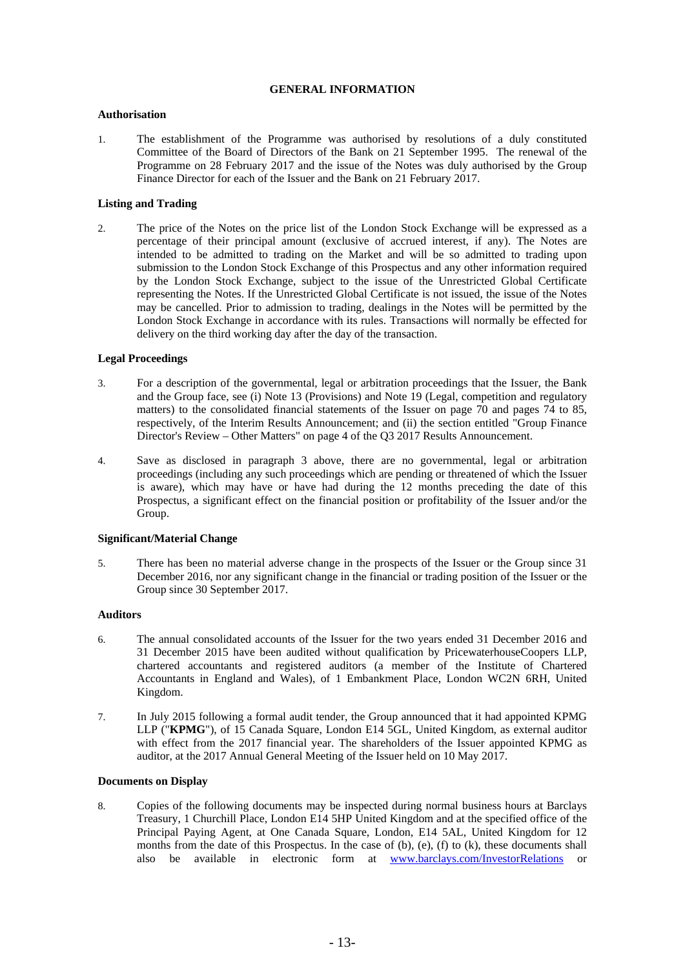### **GENERAL INFORMATION**

#### **Authorisation**

1. The establishment of the Programme was authorised by resolutions of a duly constituted Committee of the Board of Directors of the Bank on 21 September 1995. The renewal of the Programme on 28 February 2017 and the issue of the Notes was duly authorised by the Group Finance Director for each of the Issuer and the Bank on 21 February 2017.

#### **Listing and Trading**

2. The price of the Notes on the price list of the London Stock Exchange will be expressed as a percentage of their principal amount (exclusive of accrued interest, if any). The Notes are intended to be admitted to trading on the Market and will be so admitted to trading upon submission to the London Stock Exchange of this Prospectus and any other information required by the London Stock Exchange, subject to the issue of the Unrestricted Global Certificate representing the Notes. If the Unrestricted Global Certificate is not issued, the issue of the Notes may be cancelled. Prior to admission to trading, dealings in the Notes will be permitted by the London Stock Exchange in accordance with its rules. Transactions will normally be effected for delivery on the third working day after the day of the transaction.

#### **Legal Proceedings**

- 3. For a description of the governmental, legal or arbitration proceedings that the Issuer, the Bank and the Group face, see (i) Note 13 (Provisions) and Note 19 (Legal, competition and regulatory matters) to the consolidated financial statements of the Issuer on page 70 and pages 74 to 85, respectively, of the Interim Results Announcement; and (ii) the section entitled "Group Finance Director's Review – Other Matters" on page 4 of the Q3 2017 Results Announcement.
- 4. Save as disclosed in paragraph 3 above, there are no governmental, legal or arbitration proceedings (including any such proceedings which are pending or threatened of which the Issuer is aware), which may have or have had during the 12 months preceding the date of this Prospectus, a significant effect on the financial position or profitability of the Issuer and/or the Group.

#### **Significant/Material Change**

5. There has been no material adverse change in the prospects of the Issuer or the Group since 31 December 2016, nor any significant change in the financial or trading position of the Issuer or the Group since 30 September 2017.

## **Auditors**

- 6. The annual consolidated accounts of the Issuer for the two years ended 31 December 2016 and 31 December 2015 have been audited without qualification by PricewaterhouseCoopers LLP, chartered accountants and registered auditors (a member of the Institute of Chartered Accountants in England and Wales), of 1 Embankment Place, London WC2N 6RH, United Kingdom.
- 7. In July 2015 following a formal audit tender, the Group announced that it had appointed KPMG LLP ("**KPMG**"), of 15 Canada Square, London E14 5GL, United Kingdom, as external auditor with effect from the 2017 financial year. The shareholders of the Issuer appointed KPMG as auditor, at the 2017 Annual General Meeting of the Issuer held on 10 May 2017.

### **Documents on Display**

8. Copies of the following documents may be inspected during normal business hours at Barclays Treasury, 1 Churchill Place, London E14 5HP United Kingdom and at the specified office of the Principal Paying Agent, at One Canada Square, London, E14 5AL, United Kingdom for 12 months from the date of this Prospectus. In the case of (b), (e), (f) to (k), these documents shall also be available in electronic form at www.barclays.com/InvestorRelations or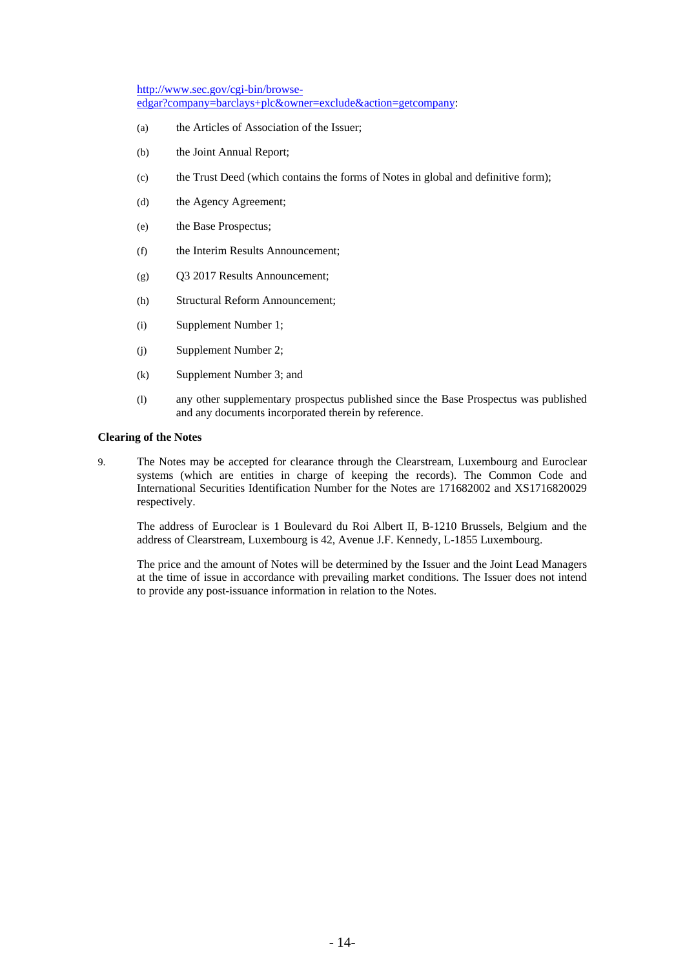http://www.sec.gov/cgi-bin/browseedgar?company=barclays+plc&owner=exclude&action=getcompany:

- (a) the Articles of Association of the Issuer;
- (b) the Joint Annual Report;
- (c) the Trust Deed (which contains the forms of Notes in global and definitive form);
- (d) the Agency Agreement;
- (e) the Base Prospectus;
- (f) the Interim Results Announcement;
- (g) Q3 2017 Results Announcement;
- (h) Structural Reform Announcement;
- (i) Supplement Number 1;
- (j) Supplement Number 2;
- (k) Supplement Number 3; and
- (l) any other supplementary prospectus published since the Base Prospectus was published and any documents incorporated therein by reference.

#### **Clearing of the Notes**

9. The Notes may be accepted for clearance through the Clearstream, Luxembourg and Euroclear systems (which are entities in charge of keeping the records). The Common Code and International Securities Identification Number for the Notes are 171682002 and XS1716820029 respectively.

The address of Euroclear is 1 Boulevard du Roi Albert II, B-1210 Brussels, Belgium and the address of Clearstream, Luxembourg is 42, Avenue J.F. Kennedy, L-1855 Luxembourg.

The price and the amount of Notes will be determined by the Issuer and the Joint Lead Managers at the time of issue in accordance with prevailing market conditions. The Issuer does not intend to provide any post-issuance information in relation to the Notes.